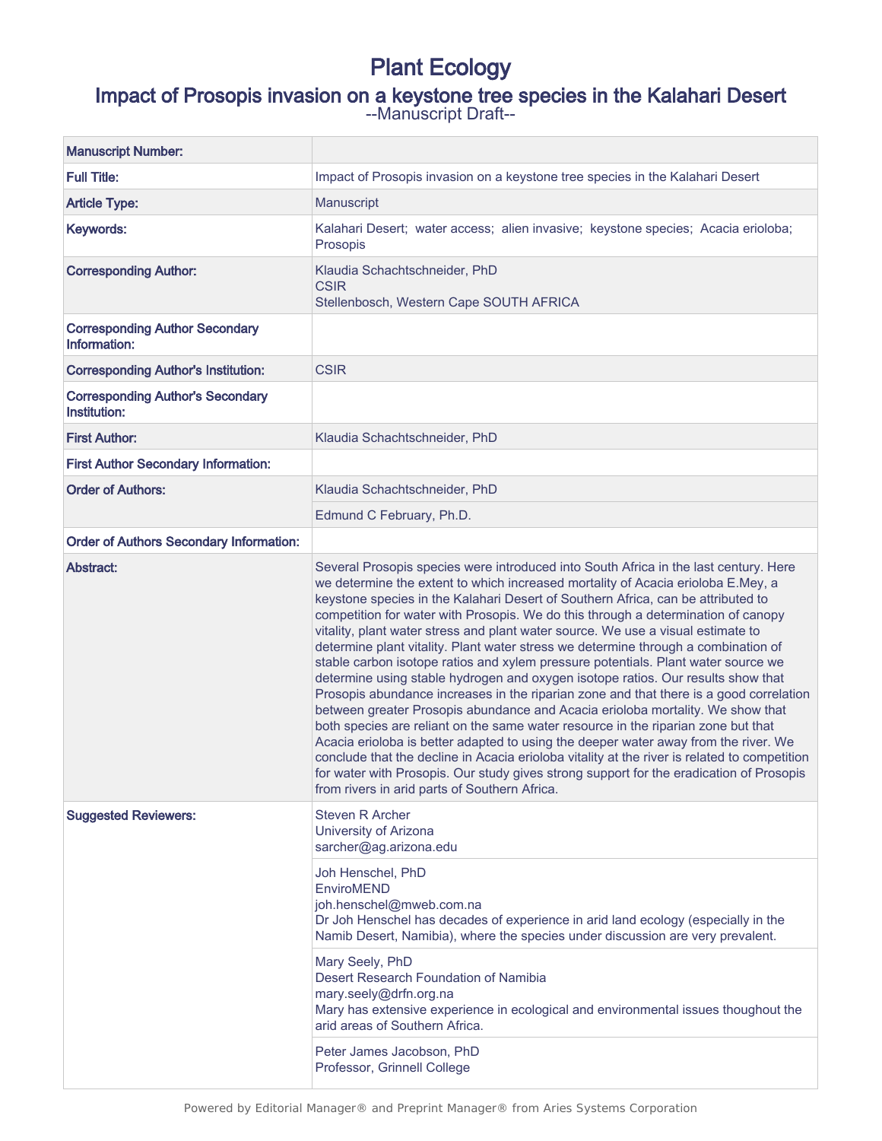# Plant Ecology

# Impact of Prosopis invasion on a keystone tree species in the Kalahari Desert

--Manuscript Draft--

| <b>Manuscript Number:</b>                               |                                                                                                                                                                                                                                                                                                                                                                                                                                                                                                                                                                                                                                                                                                                                                                                                                                                                                                                                                                                                                                                                                                                                                                                                                                                                                                          |
|---------------------------------------------------------|----------------------------------------------------------------------------------------------------------------------------------------------------------------------------------------------------------------------------------------------------------------------------------------------------------------------------------------------------------------------------------------------------------------------------------------------------------------------------------------------------------------------------------------------------------------------------------------------------------------------------------------------------------------------------------------------------------------------------------------------------------------------------------------------------------------------------------------------------------------------------------------------------------------------------------------------------------------------------------------------------------------------------------------------------------------------------------------------------------------------------------------------------------------------------------------------------------------------------------------------------------------------------------------------------------|
| <b>Full Title:</b>                                      | Impact of Prosopis invasion on a keystone tree species in the Kalahari Desert                                                                                                                                                                                                                                                                                                                                                                                                                                                                                                                                                                                                                                                                                                                                                                                                                                                                                                                                                                                                                                                                                                                                                                                                                            |
| <b>Article Type:</b>                                    | Manuscript                                                                                                                                                                                                                                                                                                                                                                                                                                                                                                                                                                                                                                                                                                                                                                                                                                                                                                                                                                                                                                                                                                                                                                                                                                                                                               |
| Keywords:                                               | Kalahari Desert; water access; alien invasive; keystone species; Acacia erioloba;<br>Prosopis                                                                                                                                                                                                                                                                                                                                                                                                                                                                                                                                                                                                                                                                                                                                                                                                                                                                                                                                                                                                                                                                                                                                                                                                            |
| <b>Corresponding Author:</b>                            | Klaudia Schachtschneider, PhD<br><b>CSIR</b><br>Stellenbosch, Western Cape SOUTH AFRICA                                                                                                                                                                                                                                                                                                                                                                                                                                                                                                                                                                                                                                                                                                                                                                                                                                                                                                                                                                                                                                                                                                                                                                                                                  |
| <b>Corresponding Author Secondary</b><br>Information:   |                                                                                                                                                                                                                                                                                                                                                                                                                                                                                                                                                                                                                                                                                                                                                                                                                                                                                                                                                                                                                                                                                                                                                                                                                                                                                                          |
| <b>Corresponding Author's Institution:</b>              | <b>CSIR</b>                                                                                                                                                                                                                                                                                                                                                                                                                                                                                                                                                                                                                                                                                                                                                                                                                                                                                                                                                                                                                                                                                                                                                                                                                                                                                              |
| <b>Corresponding Author's Secondary</b><br>Institution: |                                                                                                                                                                                                                                                                                                                                                                                                                                                                                                                                                                                                                                                                                                                                                                                                                                                                                                                                                                                                                                                                                                                                                                                                                                                                                                          |
| <b>First Author:</b>                                    | Klaudia Schachtschneider, PhD                                                                                                                                                                                                                                                                                                                                                                                                                                                                                                                                                                                                                                                                                                                                                                                                                                                                                                                                                                                                                                                                                                                                                                                                                                                                            |
| <b>First Author Secondary Information:</b>              |                                                                                                                                                                                                                                                                                                                                                                                                                                                                                                                                                                                                                                                                                                                                                                                                                                                                                                                                                                                                                                                                                                                                                                                                                                                                                                          |
| <b>Order of Authors:</b>                                | Klaudia Schachtschneider, PhD                                                                                                                                                                                                                                                                                                                                                                                                                                                                                                                                                                                                                                                                                                                                                                                                                                                                                                                                                                                                                                                                                                                                                                                                                                                                            |
|                                                         | Edmund C February, Ph.D.                                                                                                                                                                                                                                                                                                                                                                                                                                                                                                                                                                                                                                                                                                                                                                                                                                                                                                                                                                                                                                                                                                                                                                                                                                                                                 |
| <b>Order of Authors Secondary Information:</b>          |                                                                                                                                                                                                                                                                                                                                                                                                                                                                                                                                                                                                                                                                                                                                                                                                                                                                                                                                                                                                                                                                                                                                                                                                                                                                                                          |
| Abstract:                                               | Several Prosopis species were introduced into South Africa in the last century. Here<br>we determine the extent to which increased mortality of Acacia erioloba E.Mey, a<br>keystone species in the Kalahari Desert of Southern Africa, can be attributed to<br>competition for water with Prosopis. We do this through a determination of canopy<br>vitality, plant water stress and plant water source. We use a visual estimate to<br>determine plant vitality. Plant water stress we determine through a combination of<br>stable carbon isotope ratios and xylem pressure potentials. Plant water source we<br>determine using stable hydrogen and oxygen isotope ratios. Our results show that<br>Prosopis abundance increases in the riparian zone and that there is a good correlation<br>between greater Prosopis abundance and Acacia erioloba mortality. We show that<br>both species are reliant on the same water resource in the riparian zone but that<br>Acacia erioloba is better adapted to using the deeper water away from the river. We<br>conclude that the decline in Acacia erioloba vitality at the river is related to competition<br>for water with Prosopis. Our study gives strong support for the eradication of Prosopis<br>from rivers in arid parts of Southern Africa. |
| <b>Suggested Reviewers:</b>                             | <b>Steven R Archer</b><br>University of Arizona<br>sarcher@ag.arizona.edu<br>Joh Henschel, PhD<br>EnviroMEND<br>joh.henschel@mweb.com.na<br>Dr Joh Henschel has decades of experience in arid land ecology (especially in the<br>Namib Desert, Namibia), where the species under discussion are very prevalent.<br>Mary Seely, PhD<br>Desert Research Foundation of Namibia<br>mary.seely@drfn.org.na<br>Mary has extensive experience in ecological and environmental issues thoughout the<br>arid areas of Southern Africa.<br>Peter James Jacobson, PhD<br>Professor, Grinnell College                                                                                                                                                                                                                                                                                                                                                                                                                                                                                                                                                                                                                                                                                                                |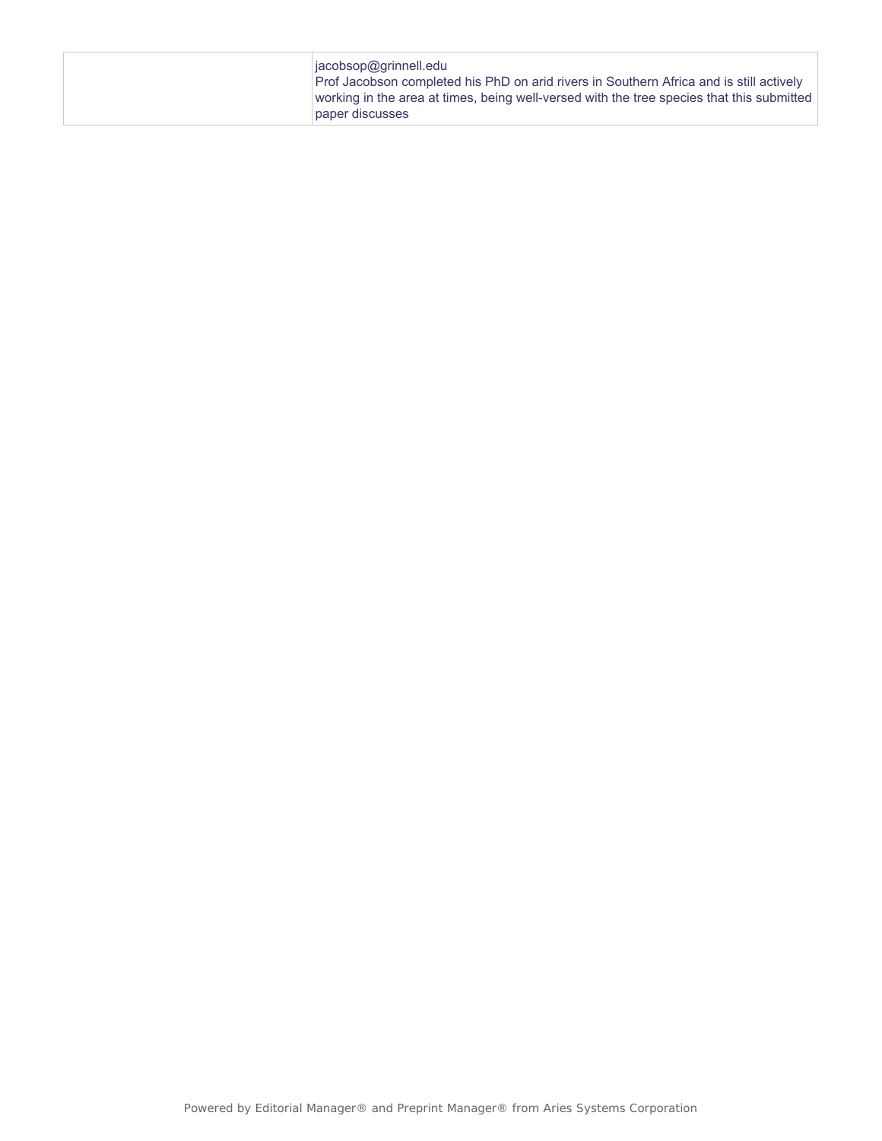| $i$ acobsop $@$ grinnell.edu<br>Prof Jacobson completed his PhD on arid rivers in Southern Africa and is still actively<br>working in the area at times, being well-versed with the tree species that this submitted<br>paper discusses |
|-----------------------------------------------------------------------------------------------------------------------------------------------------------------------------------------------------------------------------------------|
|-----------------------------------------------------------------------------------------------------------------------------------------------------------------------------------------------------------------------------------------|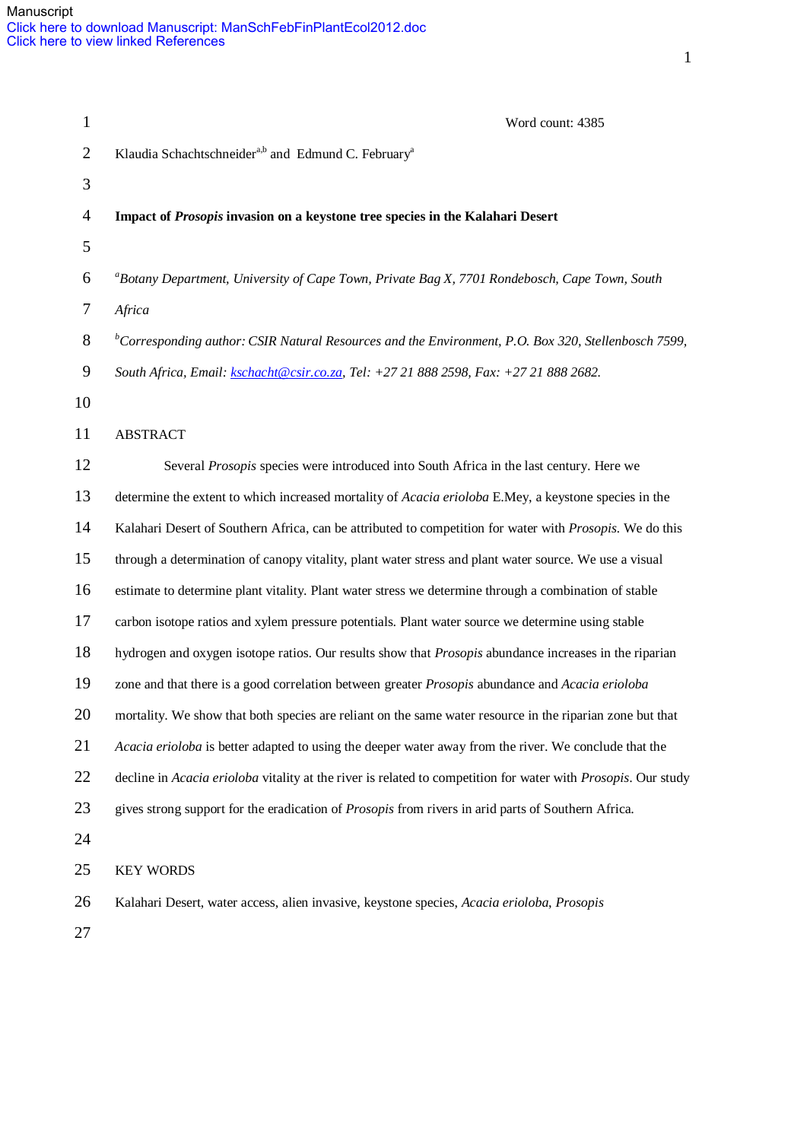| $\mathbf{1}$     | Word count: 4385                                                                                              |
|------------------|---------------------------------------------------------------------------------------------------------------|
| $\mathfrak{2}$   | Klaudia Schachtschneider <sup>a,b</sup> and Edmund C. February <sup>a</sup>                                   |
| 3                |                                                                                                               |
| $\overline{4}$   | Impact of Prosopis invasion on a keystone tree species in the Kalahari Desert                                 |
| 5                |                                                                                                               |
| 6                | <sup>a</sup> Botany Department, University of Cape Town, Private Bag X, 7701 Rondebosch, Cape Town, South     |
| $\tau$           | Africa                                                                                                        |
| $8\,$            | ${}^b$ Corresponding author: CSIR Natural Resources and the Environment, P.O. Box 320, Stellenbosch 7599,     |
| $\boldsymbol{9}$ | South Africa, Email: kschacht@csir.co.za, Tel: +27 21 888 2598, Fax: +27 21 888 2682.                         |
| 10               |                                                                                                               |
| 11               | <b>ABSTRACT</b>                                                                                               |
| 12               | Several Prosopis species were introduced into South Africa in the last century. Here we                       |
| 13               | determine the extent to which increased mortality of Acacia erioloba E.Mey, a keystone species in the         |
| 14               | Kalahari Desert of Southern Africa, can be attributed to competition for water with Prosopis. We do this      |
| 15               | through a determination of canopy vitality, plant water stress and plant water source. We use a visual        |
| 16               | estimate to determine plant vitality. Plant water stress we determine through a combination of stable         |
| 17               | carbon isotope ratios and xylem pressure potentials. Plant water source we determine using stable             |
| 18               | hydrogen and oxygen isotope ratios. Our results show that <i>Prosopis</i> abundance increases in the riparian |
| 19               | zone and that there is a good correlation between greater Prosopis abundance and Acacia erioloba              |
| 20               | mortality. We show that both species are reliant on the same water resource in the riparian zone but that     |
| 21               | Acacia erioloba is better adapted to using the deeper water away from the river. We conclude that the         |
| 22               | decline in Acacia erioloba vitality at the river is related to competition for water with Prosopis. Our study |
| 23               | gives strong support for the eradication of Prosopis from rivers in arid parts of Southern Africa.            |
| 24               |                                                                                                               |
| 25               | <b>KEY WORDS</b>                                                                                              |
| 26               | Kalahari Desert, water access, alien invasive, keystone species, Acacia erioloba, Prosopis                    |
| 27               |                                                                                                               |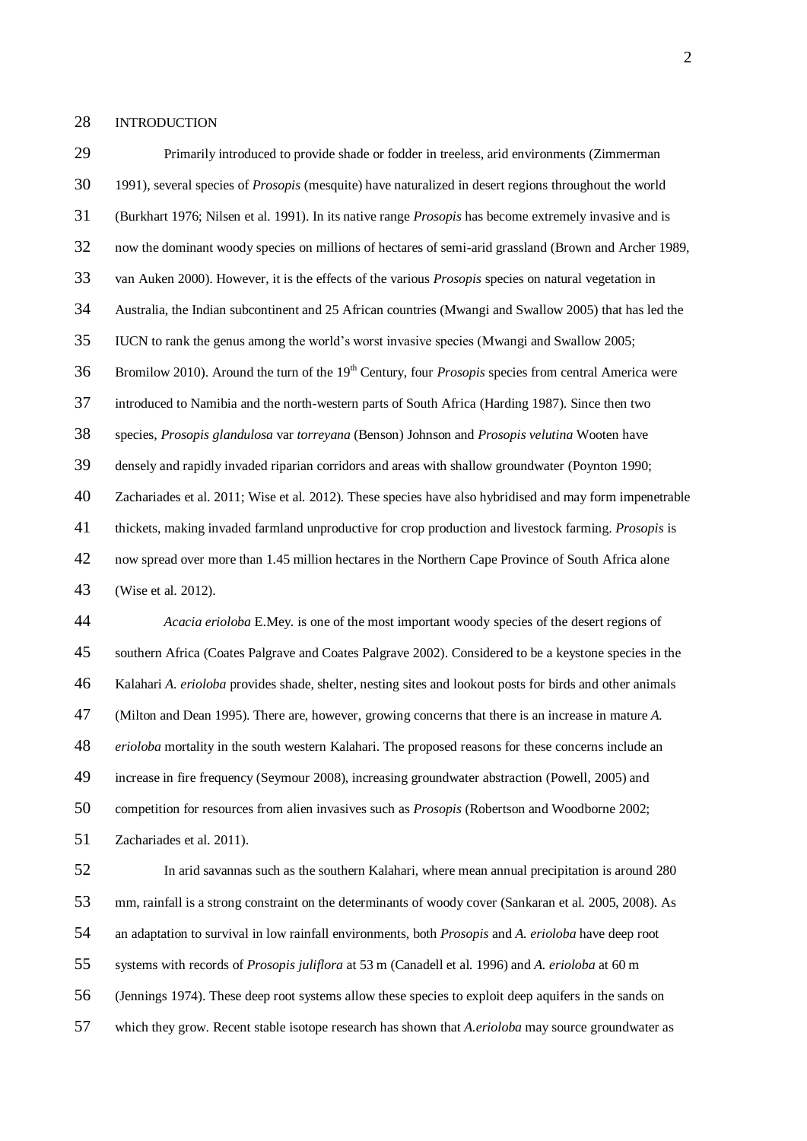INTRODUCTION

 1991), several species of *Prosopis* (mesquite) have naturalized in desert regions throughout the world (Burkhart 1976; Nilsen et al*.* 1991). In its native range *Prosopis* has become extremely invasive and is now the dominant woody species on millions of hectares of semi-arid grassland (Brown and Archer 1989, van Auken 2000). However, it is the effects of the various *Prosopis* species on natural vegetation in Australia, the Indian subcontinent and 25 African countries (Mwangi and Swallow 2005) that has led the IUCN to rank the genus among the world's worst invasive species (Mwangi and Swallow 2005; Bromilow 2010). Around the turn of the 19th Century, four *Prosopis* species from central America were introduced to Namibia and the north-western parts of South Africa (Harding 1987). Since then two species, *Prosopis glandulosa* var *torreyana* (Benson) Johnson and *Prosopis velutina* Wooten have densely and rapidly invaded riparian corridors and areas with shallow groundwater (Poynton 1990; Zachariades et al*.* 2011; Wise et al*.* 2012). These species have also hybridised and may form impenetrable thickets, making invaded farmland unproductive for crop production and livestock farming. *Prosopis* is now spread over more than 1.45 million hectares in the Northern Cape Province of South Africa alone (Wise et al*.* 2012). *Acacia erioloba* E.Mey. is one of the most important woody species of the desert regions of southern Africa (Coates Palgrave and Coates Palgrave 2002). Considered to be a keystone species in the Kalahari *A. erioloba* provides shade, shelter, nesting sites and lookout posts for birds and other animals (Milton and Dean 1995). There are, however, growing concerns that there is an increase in mature *A. erioloba* mortality in the south western Kalahari. The proposed reasons for these concerns include an increase in fire frequency (Seymour 2008), increasing groundwater abstraction (Powell, 2005) and competition for resources from alien invasives such as *Prosopis* (Robertson and Woodborne 2002; Zachariades et al*.* 2011). In arid savannas such as the southern Kalahari, where mean annual precipitation is around 280 mm, rainfall is a strong constraint on the determinants of woody cover (Sankaran et al*.* 2005, 2008). As an adaptation to survival in low rainfall environments, both *Prosopis* and *A. erioloba* have deep root systems with records of *Prosopis juliflora* at 53 m (Canadell et al*.* 1996) and *A. erioloba* at 60 m (Jennings 1974). These deep root systems allow these species to exploit deep aquifers in the sands on

Primarily introduced to provide shade or fodder in treeless, arid environments (Zimmerman

which they grow. Recent stable isotope research has shown that *A.erioloba* may source groundwater as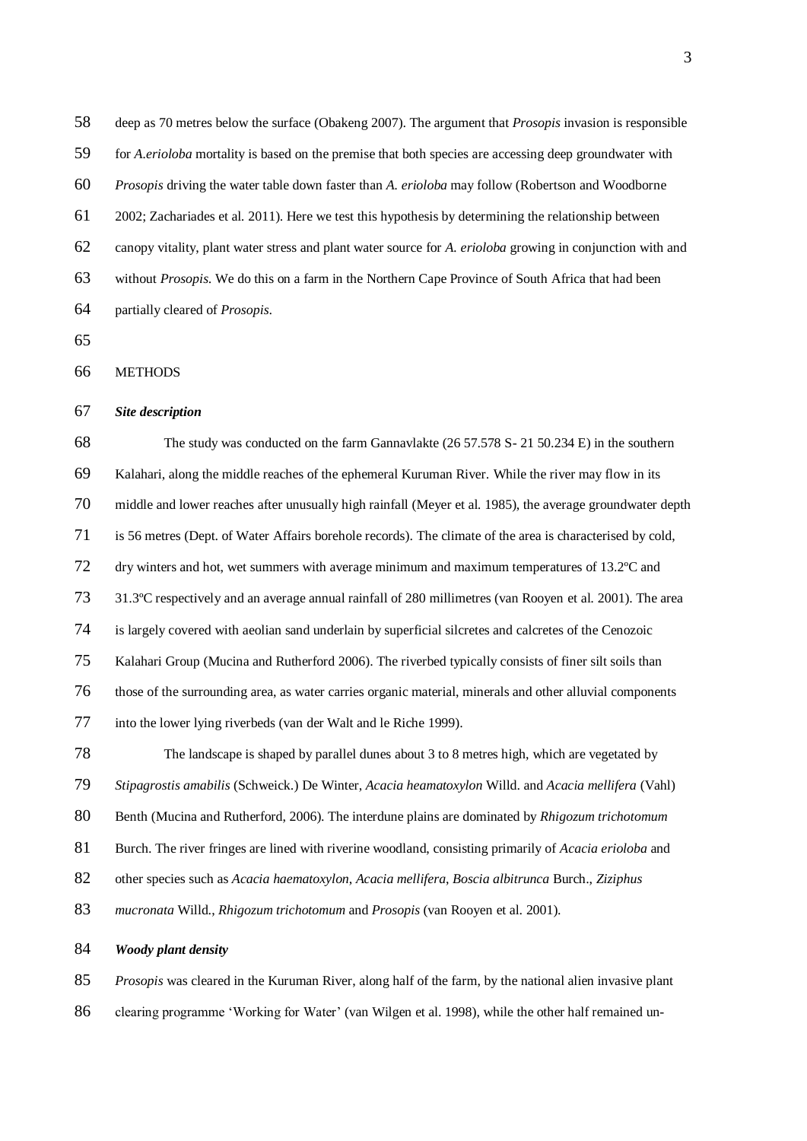deep as 70 metres below the surface (Obakeng 2007). The argument that *Prosopis* invasion is responsible for *A.erioloba* mortality is based on the premise that both species are accessing deep groundwater with *Prosopis* driving the water table down faster than *A. erioloba* may follow (Robertson and Woodborne 2002; Zachariades et al*.* 2011). Here we test this hypothesis by determining the relationship between canopy vitality, plant water stress and plant water source for *A. erioloba* growing in conjunction with and without *Prosopis*. We do this on a farm in the Northern Cape Province of South Africa that had been partially cleared of *Prosopis*.

#### METHODS

#### *Site description*

 The study was conducted on the farm Gannavlakte (26 57.578 S- 21 50.234 E) in the southern Kalahari, along the middle reaches of the ephemeral Kuruman River. While the river may flow in its middle and lower reaches after unusually high rainfall (Meyer et al*.* 1985), the average groundwater depth is 56 metres (Dept. of Water Affairs borehole records). The climate of the area is characterised by cold, dry winters and hot, wet summers with average minimum and maximum temperatures of 13.2ºC and 31.3ºC respectively and an average annual rainfall of 280 millimetres (van Rooyen et al*.* 2001). The area is largely covered with aeolian sand underlain by superficial silcretes and calcretes of the Cenozoic Kalahari Group (Mucina and Rutherford 2006). The riverbed typically consists of finer silt soils than those of the surrounding area, as water carries organic material, minerals and other alluvial components into the lower lying riverbeds (van der Walt and le Riche 1999).

 The landscape is shaped by parallel dunes about 3 to 8 metres high, which are vegetated by *Stipagrostis amabilis* (Schweick.) De Winter, *Acacia heamatoxylon* Willd. and *Acacia mellifera* (Vahl) Benth (Mucina and Rutherford, 2006). The interdune plains are dominated by *Rhigozum trichotomum* Burch. The river fringes are lined with riverine woodland, consisting primarily of *Acacia erioloba* and other species such as *Acacia haematoxylon*, *Acacia mellifera*, *Boscia albitrunca* Burch., *Ziziphus mucronata* Willd., *Rhigozum trichotomum* and *Prosopis* (van Rooyen et al. 2001).

#### *Woody plant density*

*Prosopis* was cleared in the Kuruman River, along half of the farm, by the national alien invasive plant

clearing programme 'Working for Water' (van Wilgen et al. 1998), while the other half remained un-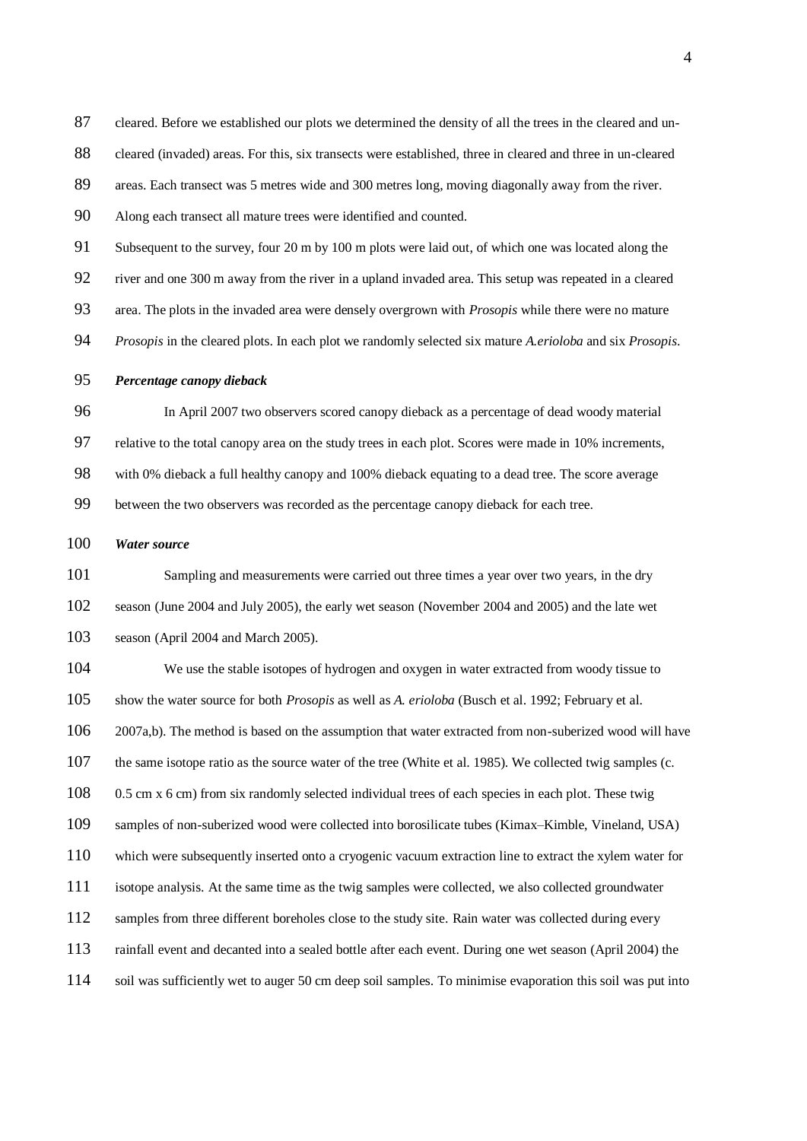cleared. Before we established our plots we determined the density of all the trees in the cleared and un-

88 cleared (invaded) areas. For this, six transects were established, three in cleared and three in un-cleared

areas. Each transect was 5 metres wide and 300 metres long, moving diagonally away from the river.

Along each transect all mature trees were identified and counted.

Subsequent to the survey, four 20 m by 100 m plots were laid out, of which one was located along the

river and one 300 m away from the river in a upland invaded area. This setup was repeated in a cleared

area. The plots in the invaded area were densely overgrown with *Prosopis* while there were no mature

*Prosopis* in the cleared plots. In each plot we randomly selected six mature *A.erioloba* and six *Prosopis*.

#### *Percentage canopy dieback*

 In April 2007 two observers scored canopy dieback as a percentage of dead woody material relative to the total canopy area on the study trees in each plot. Scores were made in 10% increments, with 0% dieback a full healthy canopy and 100% dieback equating to a dead tree. The score average between the two observers was recorded as the percentage canopy dieback for each tree.

#### *Water source*

 Sampling and measurements were carried out three times a year over two years, in the dry season (June 2004 and July 2005), the early wet season (November 2004 and 2005) and the late wet season (April 2004 and March 2005).

 We use the stable isotopes of hydrogen and oxygen in water extracted from woody tissue to show the water source for both *Prosopis* as well as *A. erioloba* (Busch et al. 1992; February et al. 2007a,b). The method is based on the assumption that water extracted from non-suberized wood will have the same isotope ratio as the source water of the tree (White et al. 1985). We collected twig samples (c. 0.5 cm x 6 cm) from six randomly selected individual trees of each species in each plot. These twig samples of non-suberized wood were collected into borosilicate tubes (Kimax–Kimble, Vineland, USA) which were subsequently inserted onto a cryogenic vacuum extraction line to extract the xylem water for isotope analysis. At the same time as the twig samples were collected, we also collected groundwater 112 samples from three different boreholes close to the study site. Rain water was collected during every rainfall event and decanted into a sealed bottle after each event. During one wet season (April 2004) the soil was sufficiently wet to auger 50 cm deep soil samples. To minimise evaporation this soil was put into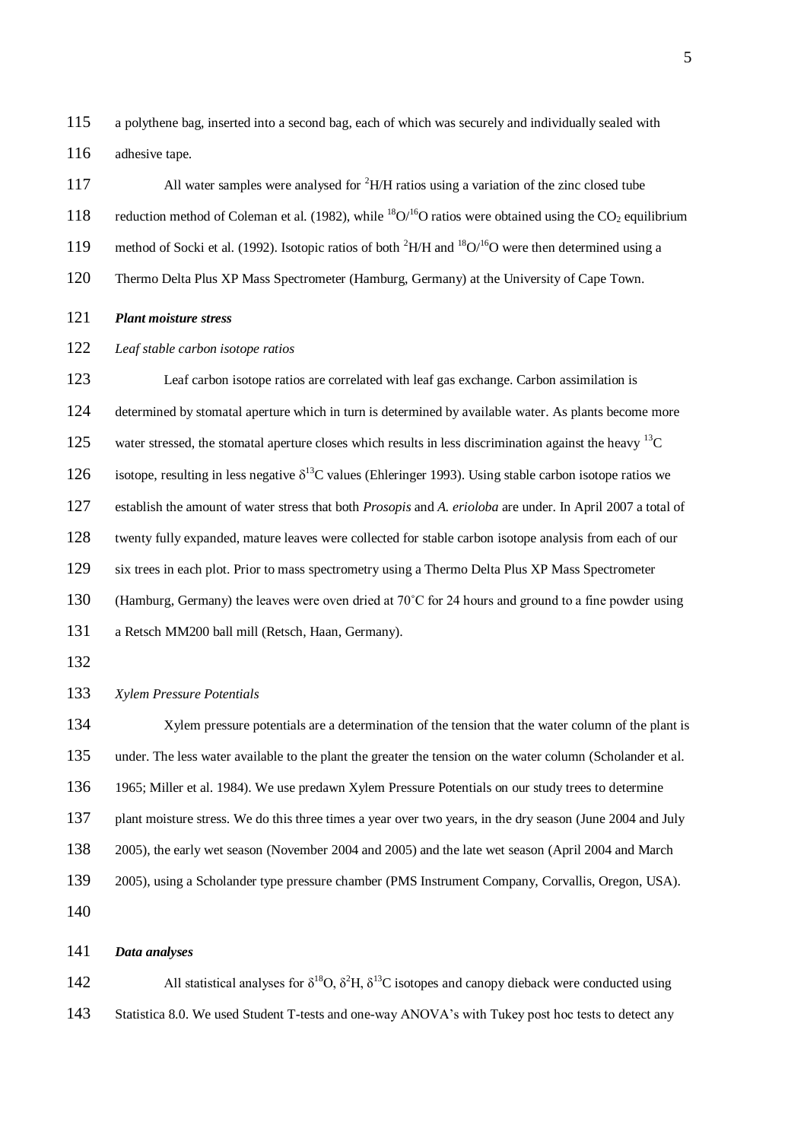a polythene bag, inserted into a second bag, each of which was securely and individually sealed with 116 adhesive tape.

117 All water samples were analysed for <sup>2</sup>H/H ratios using a variation of the zinc closed tube 118 reduction method of Coleman et al. (1982), while <sup>18</sup>O/<sup>16</sup>O ratios were obtained using the CO<sub>2</sub> equilibrium 119 method of Socki et al. (1992). Isotopic ratios of both <sup>2</sup>H/H and <sup>18</sup>O/<sup>16</sup>O were then determined using a Thermo Delta Plus XP Mass Spectrometer (Hamburg, Germany) at the University of Cape Town.

- *Plant moisture stress*
- *Leaf stable carbon isotope ratios*

 Leaf carbon isotope ratios are correlated with leaf gas exchange. Carbon assimilation is determined by stomatal aperture which in turn is determined by available water. As plants become more 125 water stressed, the stomatal aperture closes which results in less discrimination against the heavy  $^{13}C$ 126 isotope, resulting in less negative  $\delta^{13}$ C values (Ehleringer 1993). Using stable carbon isotope ratios we establish the amount of water stress that both *Prosopis* and *A. erioloba* are under. In April 2007 a total of twenty fully expanded, mature leaves were collected for stable carbon isotope analysis from each of our six trees in each plot. Prior to mass spectrometry using a Thermo Delta Plus XP Mass Spectrometer (Hamburg, Germany) the leaves were oven dried at 70˚C for 24 hours and ground to a fine powder using a Retsch MM200 ball mill (Retsch, Haan, Germany). *Xylem Pressure Potentials* Xylem pressure potentials are a determination of the tension that the water column of the plant is

 under. The less water available to the plant the greater the tension on the water column (Scholander et al. 1965; Miller et al. 1984). We use predawn Xylem Pressure Potentials on our study trees to determine 137 plant moisture stress. We do this three times a year over two years, in the dry season (June 2004 and July 2005), the early wet season (November 2004 and 2005) and the late wet season (April 2004 and March 2005), using a Scholander type pressure chamber (PMS Instrument Company, Corvallis, Oregon, USA). 

#### *Data analyses*

All statistical analyses for  $\delta^{18}O$ ,  $\delta^2H$ ,  $\delta^{13}C$  isotopes and canopy dieback were conducted using Statistica 8.0. We used Student T-tests and one-way ANOVA's with Tukey post hoc tests to detect any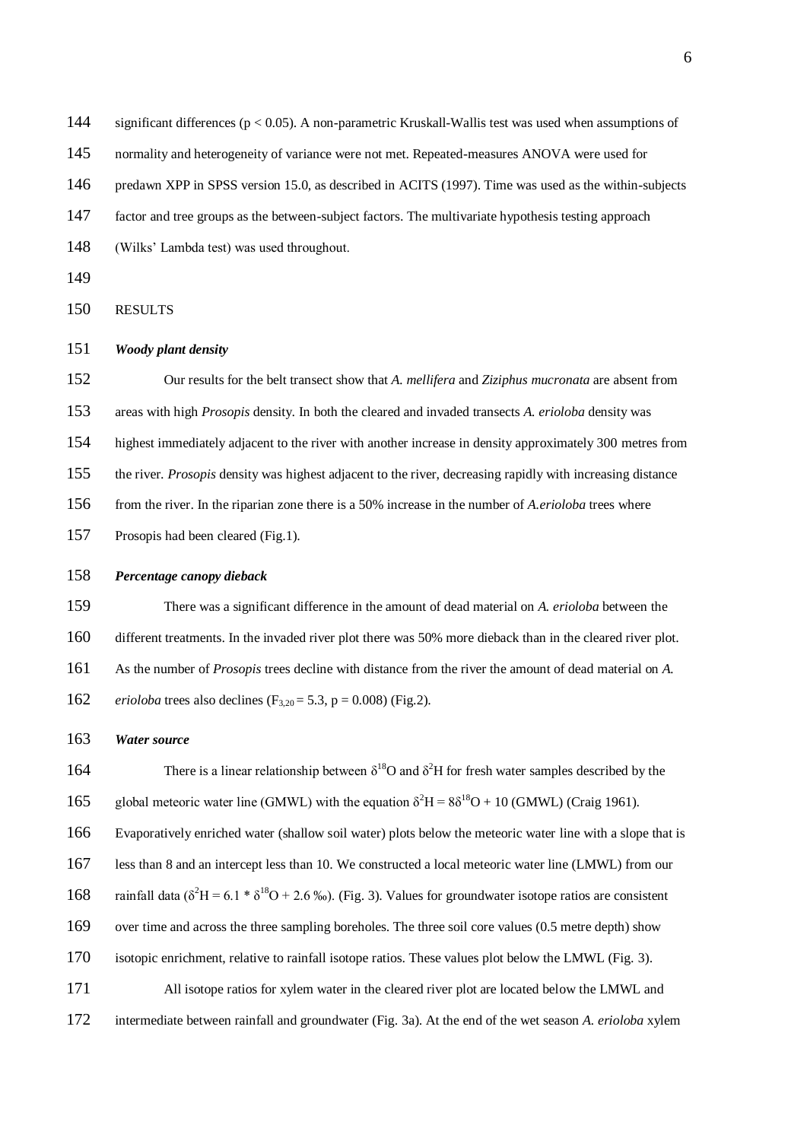144 significant differences (p < 0.05). A non-parametric Kruskall-Wallis test was used when assumptions of

normality and heterogeneity of variance were not met. Repeated-measures ANOVA were used for

predawn XPP in SPSS version 15.0, as described in ACITS (1997). Time was used as the within-subjects

factor and tree groups as the between-subject factors. The multivariate hypothesis testing approach

- (Wilks' Lambda test) was used throughout.
- 

RESULTS

## *Woody plant density*

 Our results for the belt transect show that *A. mellifera* and *Ziziphus mucronata* are absent from areas with high *Prosopis* density. In both the cleared and invaded transects *A. erioloba* density was highest immediately adjacent to the river with another increase in density approximately 300 metres from the river. *Prosopis* density was highest adjacent to the river, decreasing rapidly with increasing distance from the river. In the riparian zone there is a 50% increase in the number of *A.erioloba* trees where Prosopis had been cleared (Fig.1).

#### *Percentage canopy dieback*

 There was a significant difference in the amount of dead material on *A. erioloba* between the different treatments. In the invaded river plot there was 50% more dieback than in the cleared river plot. As the number of *Prosopis* trees decline with distance from the river the amount of dead material on *A. erioloba* trees also declines  $(F_{3,20} = 5.3, p = 0.008)$  (Fig.2).

### *Water source*

164 There is a linear relationship between  $\delta^{18}$ O and  $\delta^2$ H for fresh water samples described by the 165 global meteoric water line (GMWL) with the equation  $\delta^2 H = 8\delta^{18}O + 10$  (GMWL) (Craig 1961). Evaporatively enriched water (shallow soil water) plots below the meteoric water line with a slope that is less than 8 and an intercept less than 10. We constructed a local meteoric water line (LMWL) from our 168 rainfall data ( $\delta^2$ H = 6.1 \*  $\delta^{18}$ O + 2.6 ‰). (Fig. 3). Values for groundwater isotope ratios are consistent over time and across the three sampling boreholes. The three soil core values (0.5 metre depth) show isotopic enrichment, relative to rainfall isotope ratios. These values plot below the LMWL (Fig. 3). All isotope ratios for xylem water in the cleared river plot are located below the LMWL and

intermediate between rainfall and groundwater (Fig. 3a). At the end of the wet season *A. erioloba* xylem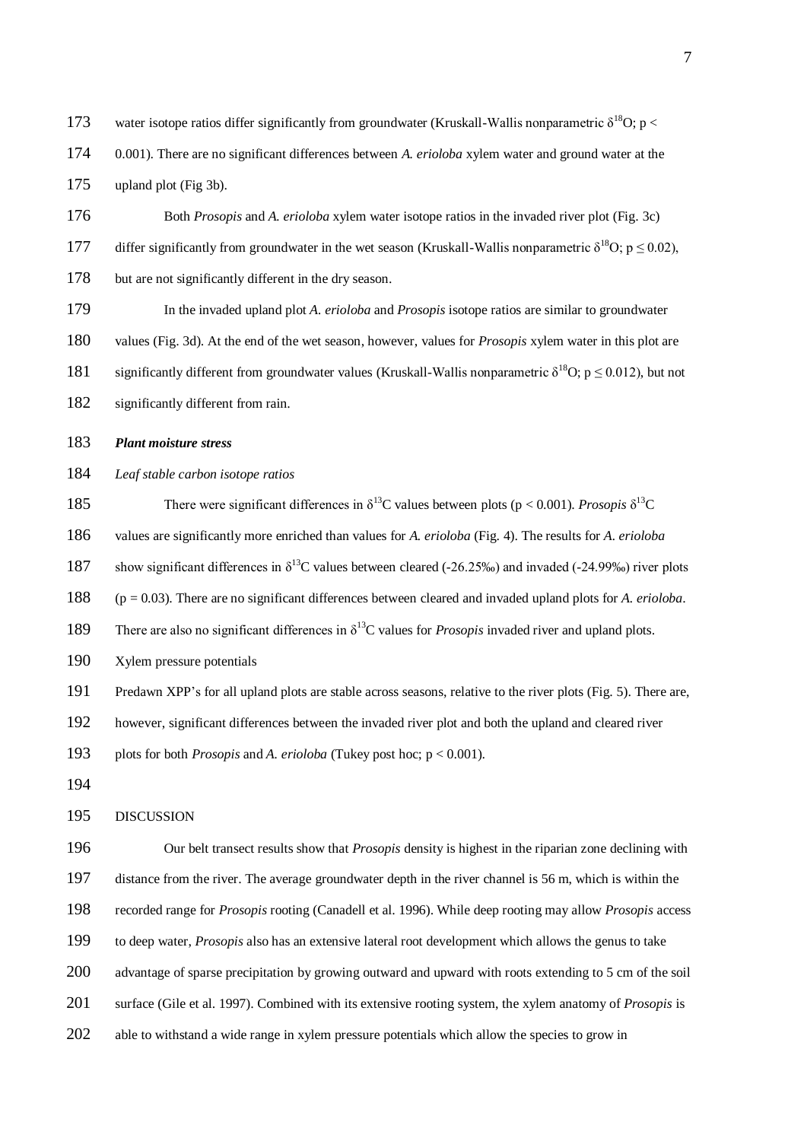173 water isotope ratios differ significantly from groundwater (Kruskall-Wallis nonparametric  $\delta^{18}O$ ; p < 0.001). There are no significant differences between *A. erioloba* xylem water and ground water at the upland plot (Fig 3b).

 Both *Prosopis* and *A. erioloba* xylem water isotope ratios in the invaded river plot (Fig. 3c) 177 differ significantly from groundwater in the wet season (Kruskall-Wallis nonparametric  $\delta^{18}$ O; p < 0.02). but are not significantly different in the dry season.

 In the invaded upland plot *A. erioloba* and *Prosopis* isotope ratios are similar to groundwater values (Fig. 3d). At the end of the wet season, however, values for *Prosopis* xylem water in this plot are 181 significantly different from groundwater values (Kruskall-Wallis nonparametric  $\delta^{18}$ O; p  $\leq 0.012$ ), but not

182 significantly different from rain.

*Plant moisture stress*

*Leaf stable carbon isotope ratios* 

185 There were significant differences in  $\delta^{13}$ C values between plots (p < 0.001). *Prosopis*  $\delta^{13}$ C

values are significantly more enriched than values for *A. erioloba* (Fig. 4). The results for *A. erioloba*

187 show significant differences in  $\delta^{13}C$  values between cleared (-26.25‰) and invaded (-24.99‰) river plots

(p = 0.03). There are no significant differences between cleared and invaded upland plots for *A. erioloba*.

189 There are also no significant differences in  $\delta^{13}$ C values for *Prosopis* invaded river and upland plots.

Xylem pressure potentials

Predawn XPP's for all upland plots are stable across seasons, relative to the river plots (Fig. 5). There are,

however, significant differences between the invaded river plot and both the upland and cleared river

plots for both *Prosopis* and *A. erioloba* (Tukey post hoc; p < 0.001).

DISCUSSION

 Our belt transect results show that *Prosopis* density is highest in the riparian zone declining with distance from the river. The average groundwater depth in the river channel is 56 m, which is within the recorded range for *Prosopis* rooting (Canadell et al. 1996). While deep rooting may allow *Prosopis* access to deep water, *Prosopis* also has an extensive lateral root development which allows the genus to take 200 advantage of sparse precipitation by growing outward and upward with roots extending to 5 cm of the soil surface (Gile et al. 1997). Combined with its extensive rooting system, the xylem anatomy of *Prosopis* is

202 able to withstand a wide range in xylem pressure potentials which allow the species to grow in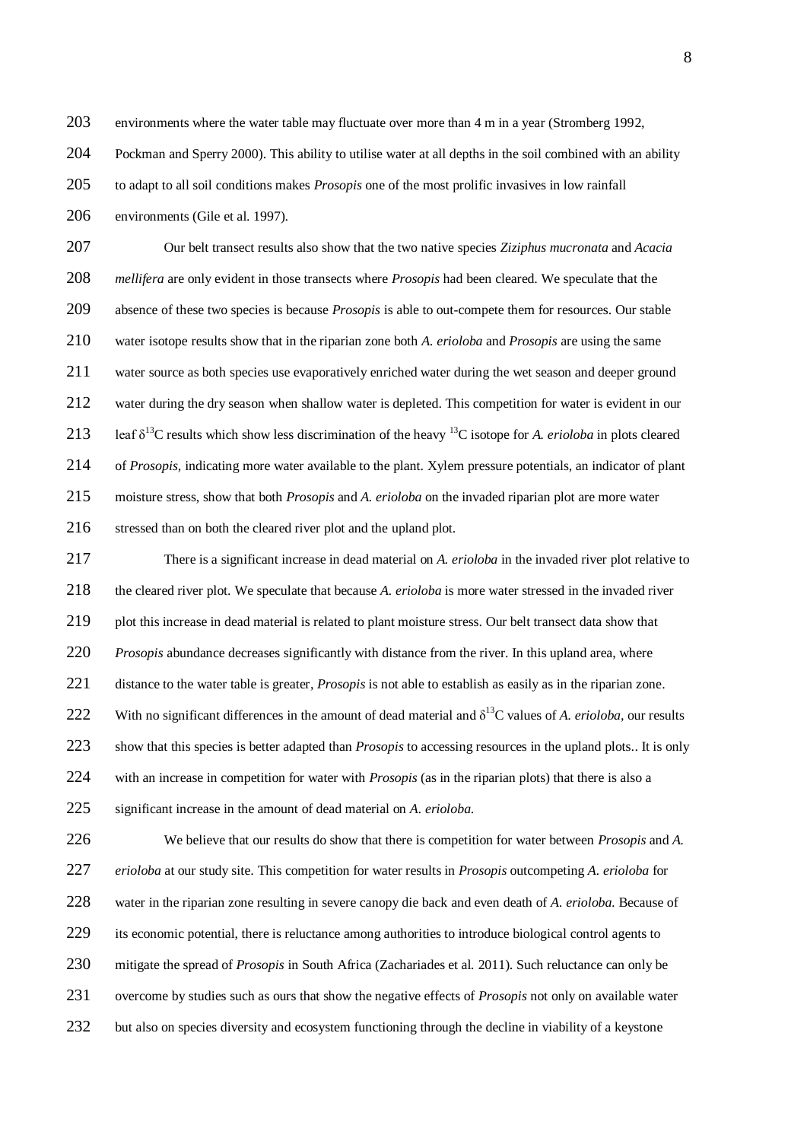environments where the water table may fluctuate over more than 4 m in a year (Stromberg 1992,

Pockman and Sperry 2000). This ability to utilise water at all depths in the soil combined with an ability

to adapt to all soil conditions makes *Prosopis* one of the most prolific invasives in low rainfall

206 environments (Gile et al. 1997).

 Our belt transect results also show that the two native species *Ziziphus mucronata* and *Acacia mellifera* are only evident in those transects where *Prosopis* had been cleared. We speculate that the absence of these two species is because *Prosopis* is able to out-compete them for resources. Our stable water isotope results show that in the riparian zone both *A. erioloba* and *Prosopis* are using the same water source as both species use evaporatively enriched water during the wet season and deeper ground water during the dry season when shallow water is depleted. This competition for water is evident in our 213 leaf  $\delta^{13}$ C results which show less discrimination of the heavy  $^{13}$ C isotope for *A. erioloba* in plots cleared of *Prosopis,* indicating more water available to the plant. Xylem pressure potentials, an indicator of plant moisture stress, show that both *Prosopis* and *A. erioloba* on the invaded riparian plot are more water 216 stressed than on both the cleared river plot and the upland plot.

 There is a significant increase in dead material on *A. erioloba* in the invaded river plot relative to the cleared river plot. We speculate that because *A. erioloba* is more water stressed in the invaded river plot this increase in dead material is related to plant moisture stress. Our belt transect data show that *Prosopis* abundance decreases significantly with distance from the river. In this upland area, where distance to the water table is greater, *Prosopis* is not able to establish as easily as in the riparian zone. 222 With no significant differences in the amount of dead material and  $\delta^{13}$ C values of *A. erioloba*, our results show that this species is better adapted than *Prosopis* to accessing resources in the upland plots.. It is only with an increase in competition for water with *Prosopis* (as in the riparian plots) that there is also a significant increase in the amount of dead material on *A. erioloba*.

 We believe that our results do show that there is competition for water between *Prosopis* and *A. erioloba* at our study site. This competition for water results in *Prosopis* outcompeting *A. erioloba* for water in the riparian zone resulting in severe canopy die back and even death of *A. erioloba.* Because of its economic potential, there is reluctance among authorities to introduce biological control agents to mitigate the spread of *Prosopis* in South Africa (Zachariades et al*.* 2011). Such reluctance can only be overcome by studies such as ours that show the negative effects of *Prosopis* not only on available water 232 but also on species diversity and ecosystem functioning through the decline in viability of a keystone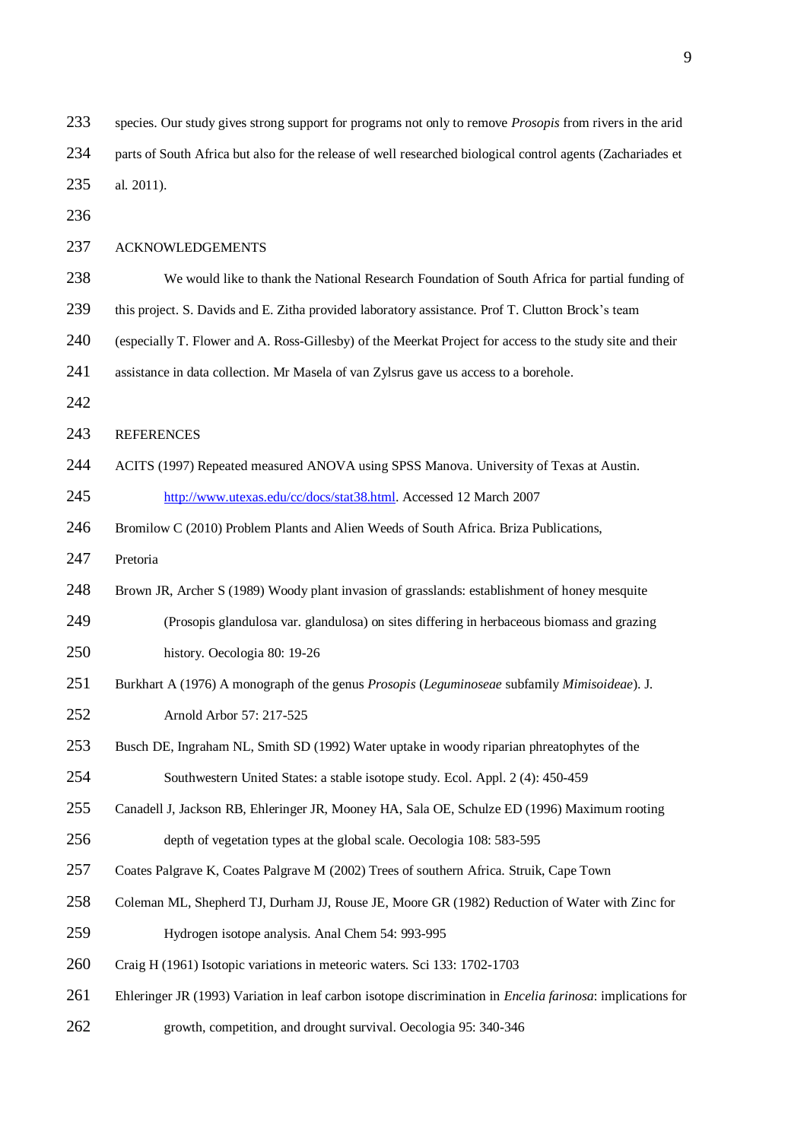| 233 | species. Our study gives strong support for programs not only to remove Prosopis from rivers in the arid           |
|-----|--------------------------------------------------------------------------------------------------------------------|
| 234 | parts of South Africa but also for the release of well researched biological control agents (Zachariades et        |
| 235 | al. 2011).                                                                                                         |
| 236 |                                                                                                                    |
| 237 | <b>ACKNOWLEDGEMENTS</b>                                                                                            |
| 238 | We would like to thank the National Research Foundation of South Africa for partial funding of                     |
| 239 | this project. S. Davids and E. Zitha provided laboratory assistance. Prof T. Clutton Brock's team                  |
| 240 | (especially T. Flower and A. Ross-Gillesby) of the Meerkat Project for access to the study site and their          |
| 241 | assistance in data collection. Mr Masela of van Zylsrus gave us access to a borehole.                              |
| 242 |                                                                                                                    |
| 243 | <b>REFERENCES</b>                                                                                                  |
| 244 | ACITS (1997) Repeated measured ANOVA using SPSS Manova. University of Texas at Austin.                             |
| 245 | http://www.utexas.edu/cc/docs/stat38.html. Accessed 12 March 2007                                                  |
| 246 | Bromilow C (2010) Problem Plants and Alien Weeds of South Africa. Briza Publications,                              |
| 247 | Pretoria                                                                                                           |
| 248 | Brown JR, Archer S (1989) Woody plant invasion of grasslands: establishment of honey mesquite                      |
| 249 | (Prosopis glandulosa var. glandulosa) on sites differing in herbaceous biomass and grazing                         |
| 250 | history. Oecologia 80: 19-26                                                                                       |
| 251 | Burkhart A (1976) A monograph of the genus <i>Prosopis</i> (Leguminoseae subfamily Mimisoideae). J.                |
| 252 | Arnold Arbor 57: 217-525                                                                                           |
| 253 | Busch DE, Ingraham NL, Smith SD (1992) Water uptake in woody riparian phreatophytes of the                         |
| 254 | Southwestern United States: a stable isotope study. Ecol. Appl. 2 (4): 450-459                                     |
| 255 | Canadell J, Jackson RB, Ehleringer JR, Mooney HA, Sala OE, Schulze ED (1996) Maximum rooting                       |
| 256 | depth of vegetation types at the global scale. Oecologia 108: 583-595                                              |
| 257 | Coates Palgrave K, Coates Palgrave M (2002) Trees of southern Africa. Struik, Cape Town                            |
| 258 | Coleman ML, Shepherd TJ, Durham JJ, Rouse JE, Moore GR (1982) Reduction of Water with Zinc for                     |
| 259 | Hydrogen isotope analysis. Anal Chem 54: 993-995                                                                   |
| 260 | Craig H (1961) Isotopic variations in meteoric waters. Sci 133: 1702-1703                                          |
| 261 | Ehleringer JR (1993) Variation in leaf carbon isotope discrimination in <i>Encelia farinosa</i> : implications for |
| 262 | growth, competition, and drought survival. Oecologia 95: 340-346                                                   |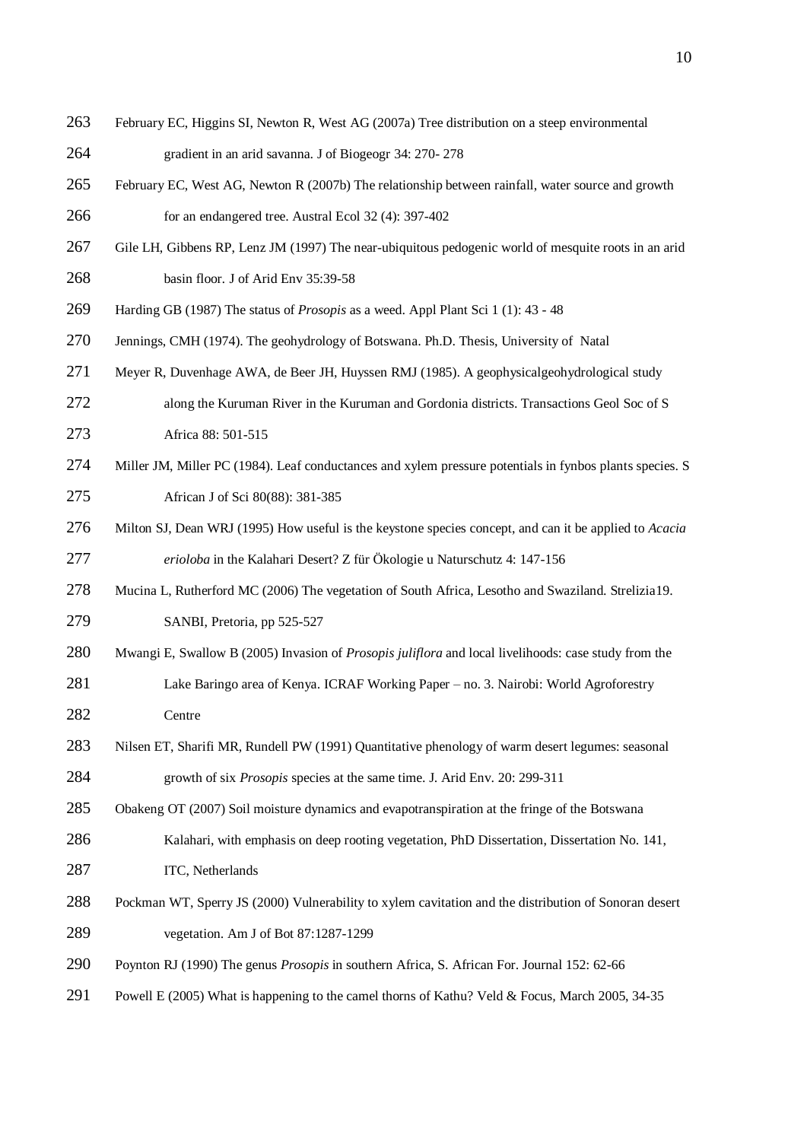- February EC, Higgins SI, Newton R, West AG (2007a) Tree distribution on a steep environmental gradient in an arid savanna. J of Biogeogr 34: 270- 278
- February EC, West AG, Newton R (2007b) The relationship between rainfall, water source and growth for an endangered tree. Austral Ecol 32 (4): 397-402
- Gile LH, Gibbens RP, Lenz JM (1997) The near-ubiquitous pedogenic world of mesquite roots in an arid basin floor*.* J of Arid Env 35:39-58
- Harding GB (1987) The status of *Prosopis* as a weed. Appl Plant Sci 1 (1): 43 48
- Jennings, CMH (1974). The geohydrology of Botswana. Ph.D. Thesis, University of Natal
- Meyer R, Duvenhage AWA, de Beer JH, Huyssen RMJ (1985). A geophysicalgeohydrological study
- along the Kuruman River in the Kuruman and Gordonia districts. Transactions Geol Soc of S Africa 88: 501-515
- Miller JM, Miller PC (1984). Leaf conductances and xylem pressure potentials in fynbos plants species. S African J of Sci 80(88): 381-385
- Milton SJ, Dean WRJ (1995) How useful is the keystone species concept, and can it be applied to *Acacia erioloba* in the Kalahari Desert? Z für Ökologie u Naturschutz 4: 147-156
- Mucina L, Rutherford MC (2006) The vegetation of South Africa, Lesotho and Swaziland. Strelizia19. SANBI, Pretoria, pp 525-527
- Mwangi E, Swallow B (2005) Invasion of *Prosopis juliflora* and local livelihoods: case study from the Lake Baringo area of Kenya. ICRAF Working Paper – no. 3. Nairobi: World Agroforestry
- Centre
- Nilsen ET, Sharifi MR, Rundell PW (1991) Quantitative phenology of warm desert legumes: seasonal growth of six *Prosopis* species at the same time. J. Arid Env. 20: 299-311
- Obakeng OT (2007) Soil moisture dynamics and evapotranspiration at the fringe of the Botswana
- Kalahari, with emphasis on deep rooting vegetation, PhD Dissertation, Dissertation No. 141, 287 ITC, Netherlands
- Pockman WT, Sperry JS (2000) Vulnerability to xylem cavitation and the distribution of Sonoran desert vegetation. Am J of Bot 87:1287-1299
- Poynton RJ (1990) The genus *Prosopis* in southern Africa, S. African For. Journal 152: 62-66
- Powell E (2005) What is happening to the camel thorns of Kathu? Veld & Focus*,* March 2005, 34-35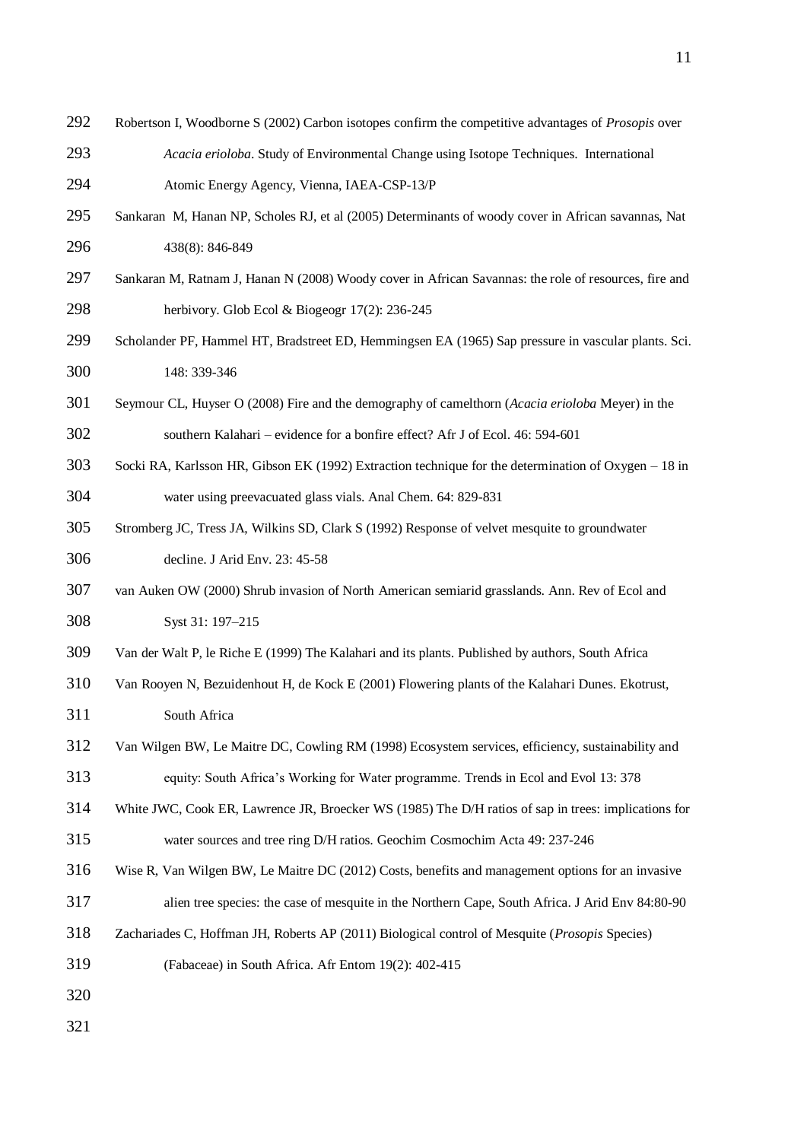Robertson I, Woodborne S (2002) Carbon isotopes confirm the competitive advantages of *Prosopis* over *Acacia erioloba*. Study of Environmental Change using Isotope Techniques. International

Atomic Energy Agency, Vienna, IAEA-CSP-13/P

- Sankaran M, Hanan NP, Scholes RJ, et al (2005) Determinants of woody cover in African savannas, Nat 438(8): 846-849
- Sankaran M, Ratnam J, Hanan N (2008) Woody cover in African Savannas: the role of resources, fire and herbivory. Glob Ecol & Biogeogr 17(2): 236-245
- Scholander PF, Hammel HT, Bradstreet ED, Hemmingsen EA (1965) Sap pressure in vascular plants. Sci. 148: 339-346
- Seymour CL, Huyser O (2008) Fire and the demography of camelthorn (*Acacia erioloba* Meyer) in the southern Kalahari – evidence for a bonfire effect? Afr J of Ecol. 46: 594-601
- Socki RA, Karlsson HR, Gibson EK (1992) Extraction technique for the determination of Oxygen 18 in water using preevacuated glass vials. Anal Chem. 64: 829-831
- Stromberg JC, Tress JA, Wilkins SD, Clark S (1992) Response of velvet mesquite to groundwater decline. J Arid Env. 23: 45-58
- van Auken OW (2000) Shrub invasion of North American semiarid grasslands. Ann. Rev of Ecol and Syst 31: 197–215
- Van der Walt P, le Riche E (1999) The Kalahari and its plants. Published by authors, South Africa
- Van Rooyen N, Bezuidenhout H, de Kock E (2001) Flowering plants of the Kalahari Dunes. Ekotrust, South Africa
- Van Wilgen BW, Le Maitre DC, Cowling RM (1998) Ecosystem services, efficiency, sustainability and equity: South Africa's Working for Water programme. Trends in Ecol and Evol 13: 378
- White JWC, Cook ER, Lawrence JR, Broecker WS (1985) The D/H ratios of sap in trees: implications for water sources and tree ring D/H ratios. Geochim Cosmochim Acta 49: 237-246
- Wise R, Van Wilgen BW, Le Maitre DC (2012) Costs, benefits and management options for an invasive
- alien tree species: the case of mesquite in the Northern Cape, South Africa. J Arid Env 84:80-90
- Zachariades C, Hoffman JH, Roberts AP (2011) Biological control of Mesquite (*Prosopis* Species)
- (Fabaceae) in South Africa. Afr Entom 19(2): 402-415
- 
-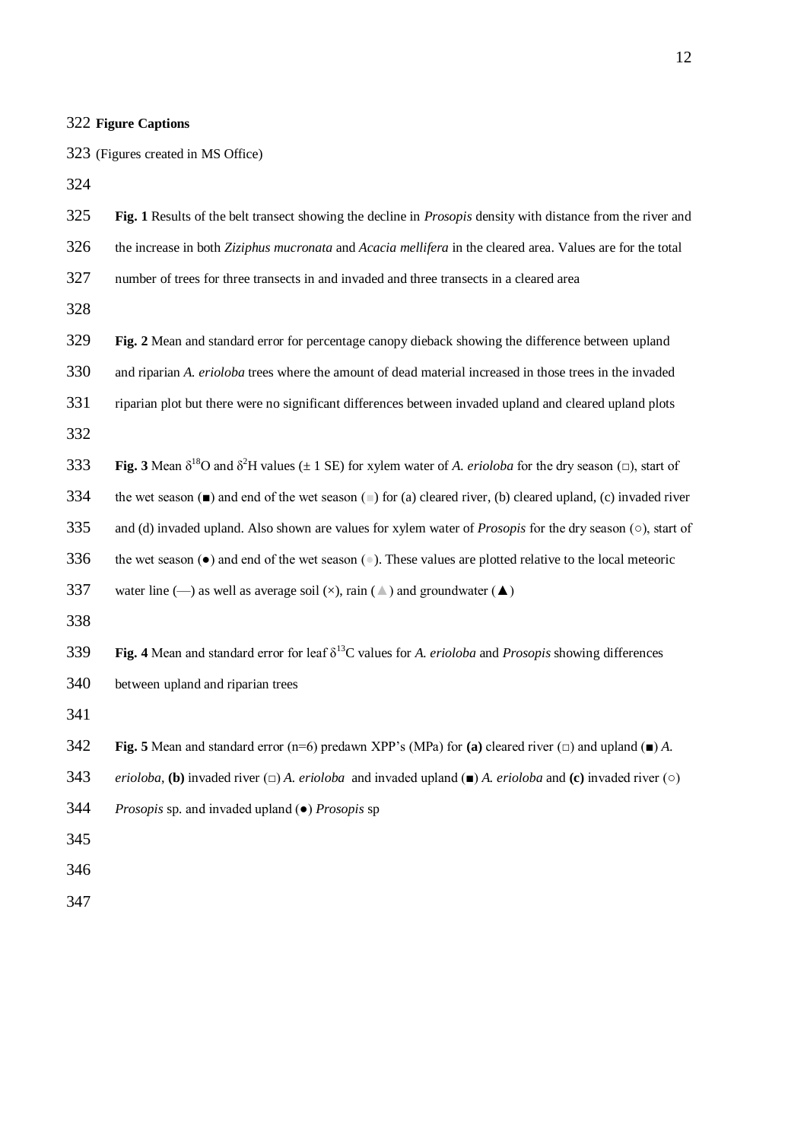#### **Figure Captions**

(Figures created in MS Office)

**Fig. 1** Results of the belt transect showing the decline in *Prosopis* density with distance from the river and

- the increase in both *Ziziphus mucronata* and *Acacia mellifera* in the cleared area. Values are for the total
- number of trees for three transects in and invaded and three transects in a cleared area

- **Fig. 2** Mean and standard error for percentage canopy dieback showing the difference between upland
- and riparian *A. erioloba* trees where the amount of dead material increased in those trees in the invaded
- riparian plot but there were no significant differences between invaded upland and cleared upland plots
- **Fig.** 3 Mean  $\delta^{18}$ O and  $\delta^{2}$ H values ( $\pm$  1 SE) for xylem water of *A. erioloba* for the dry season ( $\Box$ ), start of
- the wet season (■) and end of the wet season (■) for (a) cleared river, (b) cleared upland, (c) invaded river
- and (d) invaded upland. Also shown are values for xylem water of *Prosopis* for the dry season (○), start of
- 336 the wet season ( $\bullet$ ) and end of the wet season ( $\bullet$ ). These values are plotted relative to the local meteoric

337 water line (—) as well as average soil ( $\times$ ), rain ( $\triangle$ ) and groundwater ( $\triangle$ )

**Fig. 4** Mean and standard error for leaf  $\delta^{13}$ C values for *A. erioloba* and *Prosopis* showing differences between upland and riparian trees

- **Fig. 5** Mean and standard error (n=6) predawn XPP's (MPa) for **(a)** cleared river (□) and upland (■) *A.*
- *erioloba*, **(b)** invaded river (□) *A. erioloba* and invaded upland (■) *A. erioloba* and **(c)** invaded river (○)
- *Prosopis* sp*.* and invaded upland (●) *Prosopis* sp
-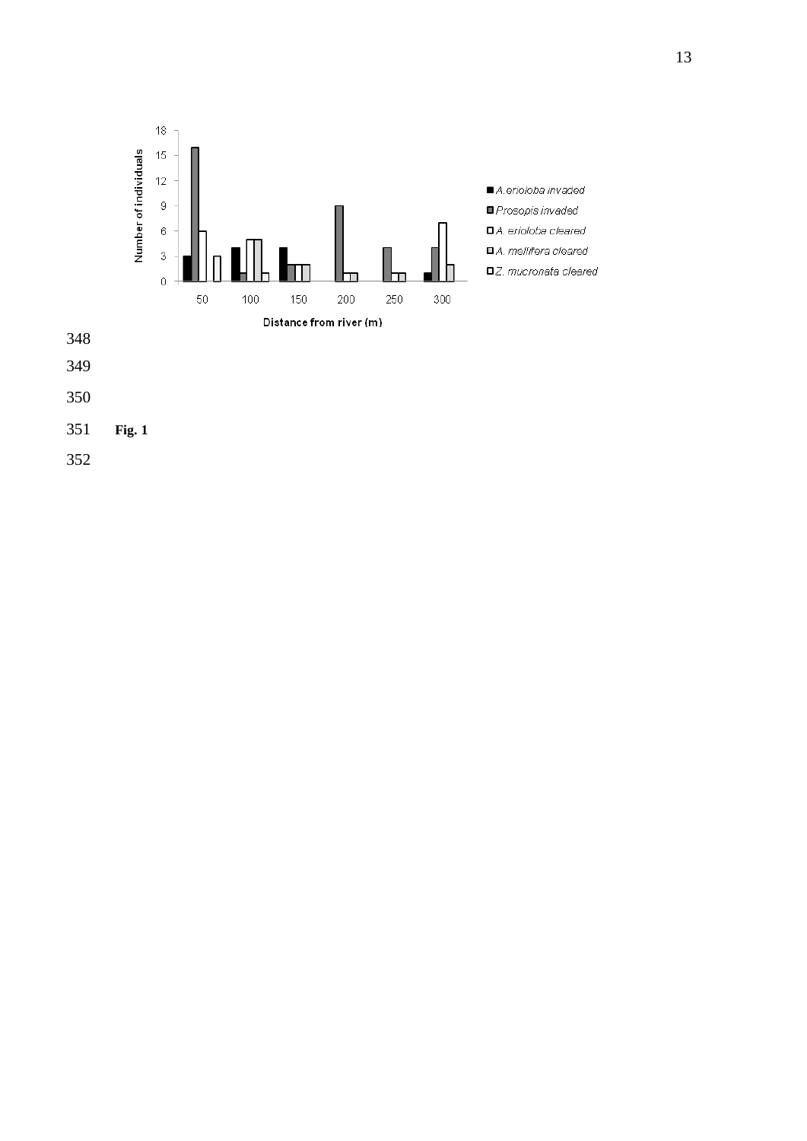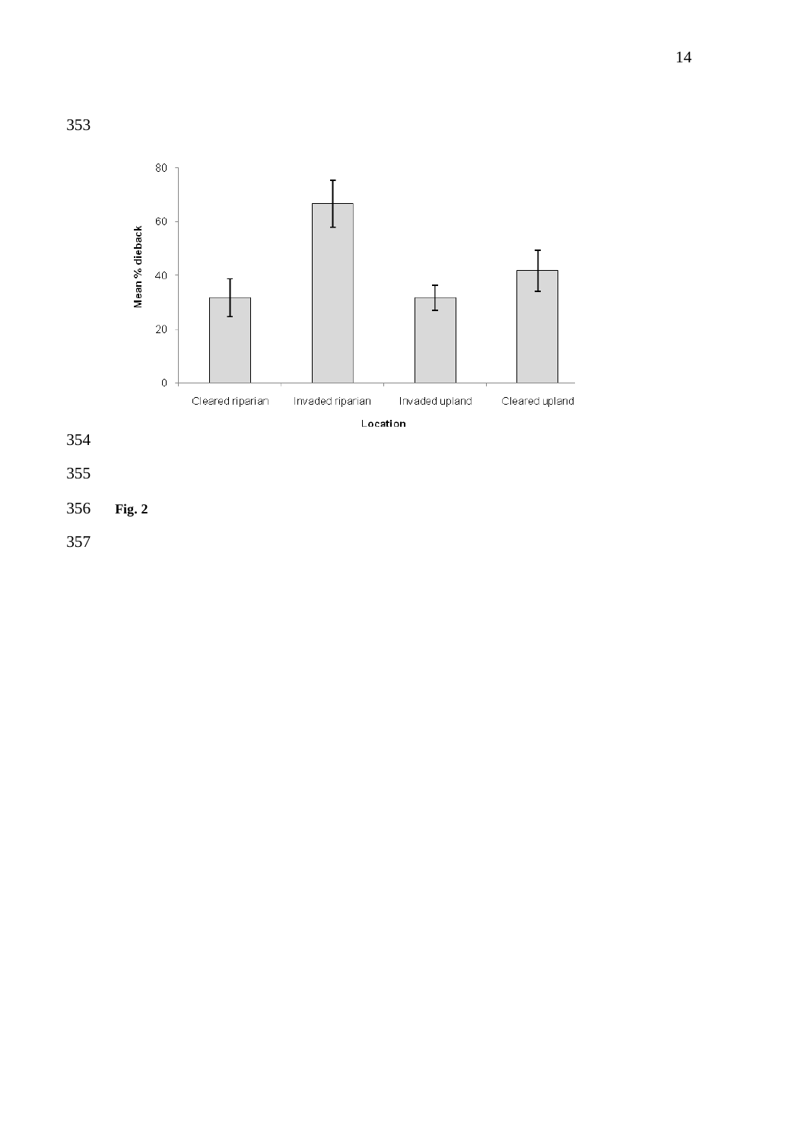

- **Fig . 2**
-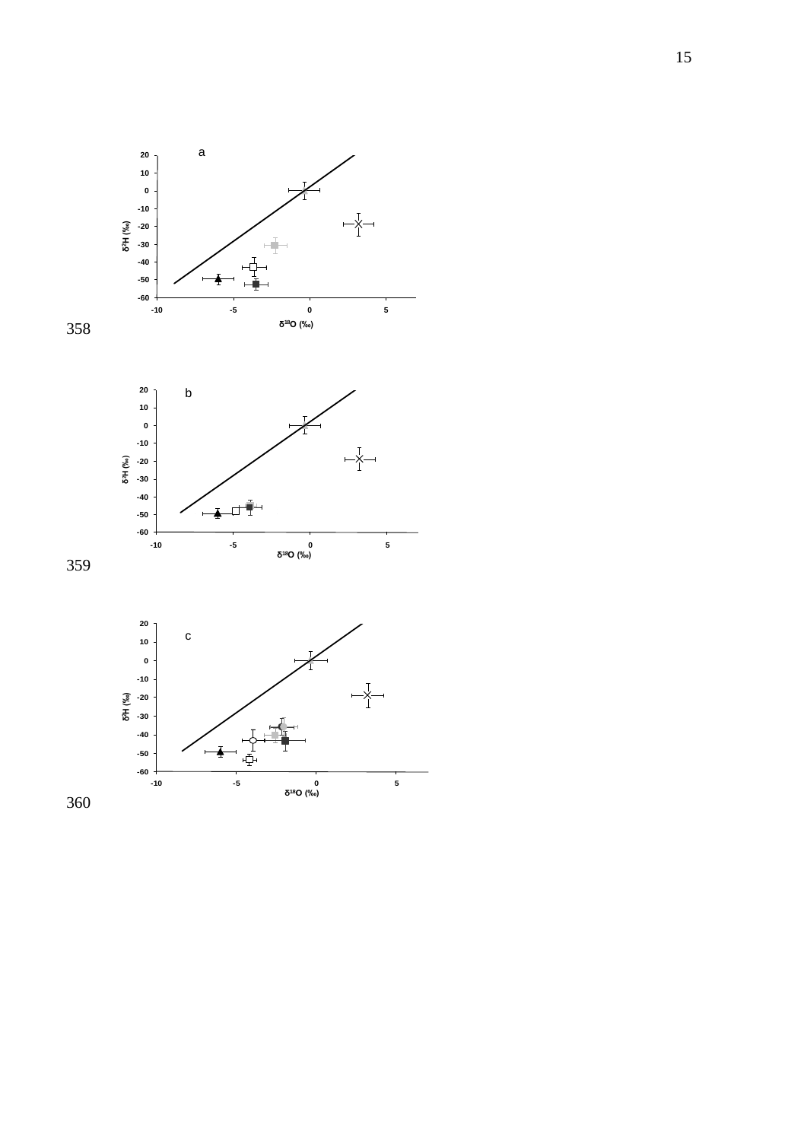



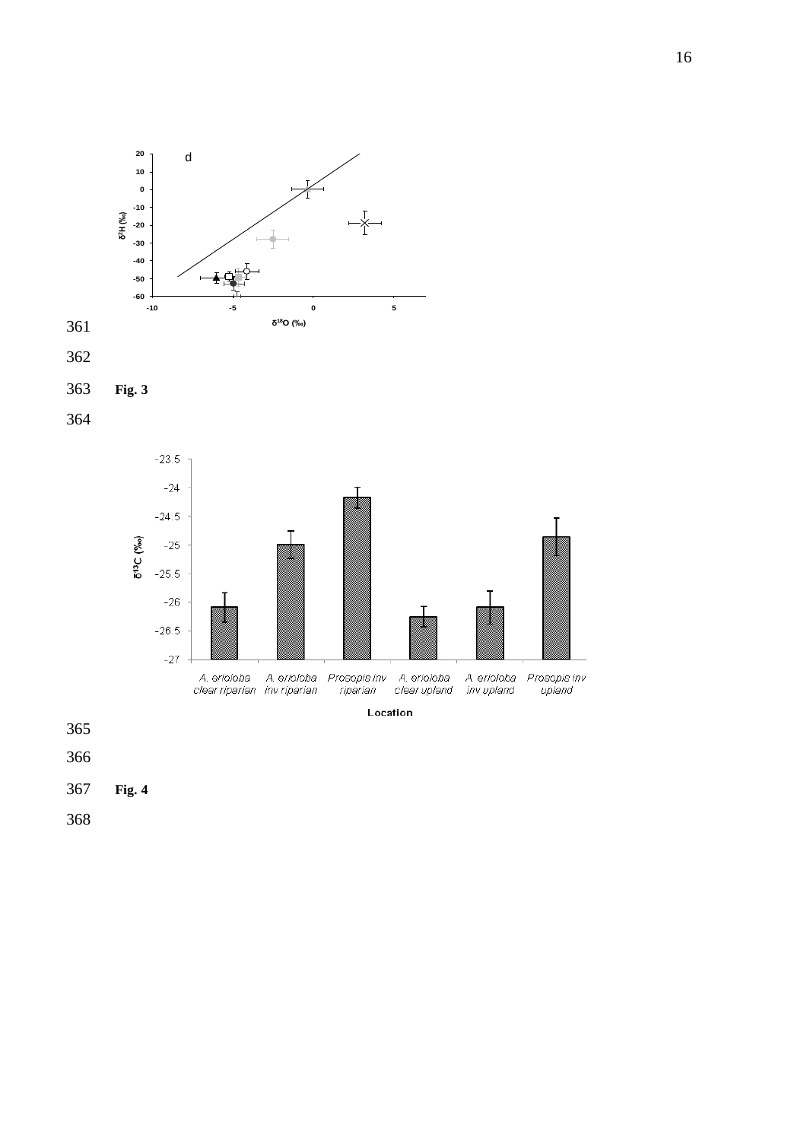